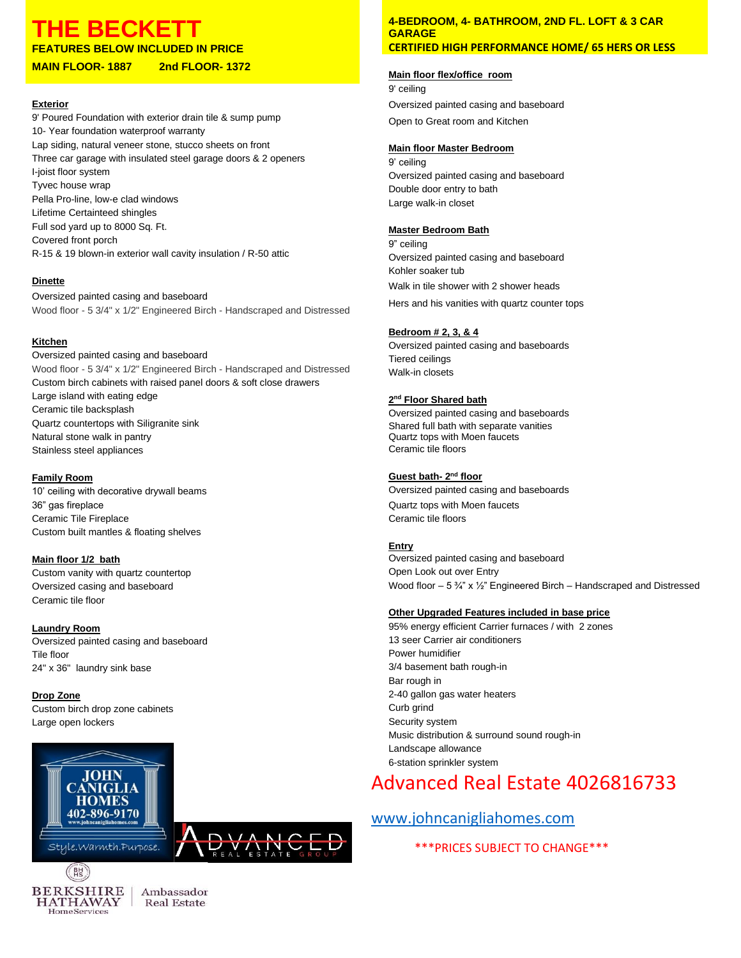## **THE BECKET**

**FEATURES BELOW INCLUDED IN PRICE**

#### **MAIN FLOOR- 1887 2nd FLOOR- 1372**

#### **Exterior**

9' Poured Foundation with exterior drain tile & sump pump 10- Year foundation waterproof warranty Lap siding, natural veneer stone, stucco sheets on front Three car garage with insulated steel garage doors & 2 openers I-joist floor system Tyvec house wrap Pella Pro-line, low-e clad windows Lifetime Certainteed shingles Full sod yard up to 8000 Sq. Ft. Covered front porch R-15 & 19 blown-in exterior wall cavity insulation / R-50 attic

#### **Dinette**

Oversized painted casing and baseboard Wood floor - 5 3/4" x 1/2" Engineered Birch - Handscraped and Distressed

#### **Kitchen**

Oversized painted casing and baseboard Wood floor - 5 3/4" x 1/2" Engineered Birch - Handscraped and Distressed Custom birch cabinets with raised panel doors & soft close drawers Large island with eating edge Ceramic tile backsplash Quartz countertops with Siligranite sink Natural stone walk in pantry Stainless steel appliances

#### **Family Room**

10' ceiling with decorative drywall beams 36" gas fireplace Ceramic Tile Fireplace Custom built mantles & floating shelves

#### **Main floor 1/2 bath**

Custom vanity with quartz countertop Oversized casing and baseboard Ceramic tile floor

#### **Laundry Room**

Oversized painted casing and baseboard Tile floor 24" x 36" laundry sink base

#### **Drop Zone**

Custom birch drop zone cabinets Large open lockers



 $\left(\begin{array}{c} B \ B \end{array}\right)$ 



#### **4-BEDROOM, 4- BATHROOM, 2ND FL. LOFT & 3 CAR GARAGE CERTIFIED HIGH PERFORMANCE HOME/ 65 HERS OR LESS**

#### **Main floor flex/office room**

9' ceiling Oversized painted casing and baseboard Open to Great room and Kitchen

#### **Main floor Master Bedroom**

9' ceiling Oversized painted casing and baseboard Double door entry to bath Large walk-in closet

#### **Master Bedroom Bath**

9" ceiling Oversized painted casing and baseboard Kohler soaker tub Walk in tile shower with 2 shower heads Hers and his vanities with quartz counter tops

#### **Bedroom # 2, 3, & 4**

Oversized painted casing and baseboards Tiered ceilings Walk-in closets

#### **2 nd Floor Shared bath**

Oversized painted casing and baseboards Shared full bath with separate vanities Quartz tops with Moen faucets Ceramic tile floors

#### **<u>Guest bath- 2<sup>nd</sup> floor</u>**

Oversized painted casing and baseboards Quartz tops with Moen faucets Ceramic tile floors

#### **Entry**

Oversized painted casing and baseboard Open Look out over Entry Wood floor – 5 ¾" x ½" Engineered Birch – Handscraped and Distressed

#### **Other Upgraded Features included in base price**

95% energy efficient Carrier furnaces / with 2 zones 13 seer Carrier air conditioners Power humidifier 3/4 basement bath rough-in Bar rough in 2-40 gallon gas water heaters Curb grind Security system Music distribution & surround sound rough-in Landscape allowance 6-station sprinkler system

## Advanced Real Estate 4026816733

### [www.johncanigliahomes.com](http://www.johncanigliahomes.com/)

\*\*\*PRICES SUBJECT TO CHANGE\*\*\*

**BERKSHIRE HATHAWAY** HomeServices

Ambassador **Real Estate**